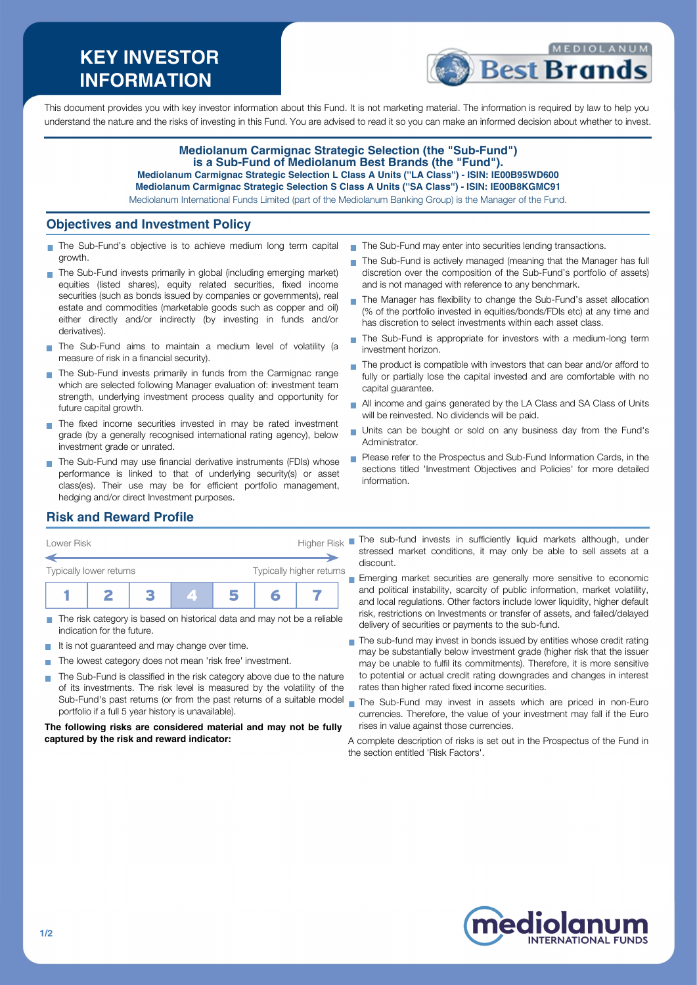# **KEY INVESTOR INFORMATION**



This document provides you with key investor information about this Fund. It is not marketing material. The information is required by law to help you understand the nature and the risks of investing in this Fund. You are advised to read it so you can make an informed decision about whether to invest.

#### **Mediolanum Carmignac Strategic Selection (the "Sub-Fund") is a Sub-Fund of Mediolanum Best Brands (the "Fund"). Mediolanum Carmignac Strategic Selection L Class A Units (''LA Class'') - ISIN: IE00B95WD600 Mediolanum Carmignac Strategic Selection S Class A Units (''SA Class'') - ISIN: IE00B8KGMC91**

Mediolanum International Funds Limited (part of the Mediolanum Banking Group) is the Manager of the Fund.

### **Objectives and Investment Policy**

- The Sub-Fund's objective is to achieve medium long term capital growth.
- The Sub-Fund invests primarily in global (including emerging market) equities (listed shares), equity related securities, fixed income securities (such as bonds issued by companies or governments), real estate and commodities (marketable goods such as copper and oil) either directly and/or indirectly (by investing in funds and/or derivatives).
- The Sub-Fund aims to maintain a medium level of volatility (a measure of risk in a financial security).
- The Sub-Fund invests primarily in funds from the Carmignac range which are selected following Manager evaluation of: investment team strength, underlying investment process quality and opportunity for future capital growth.
- The fixed income securities invested in may be rated investment grade (by a generally recognised international rating agency), below investment grade or unrated.
- The Sub-Fund may use financial derivative instruments (FDIs) whose performance is linked to that of underlying security(s) or asset class(es). Their use may be for efficient portfolio management, hedging and/or direct Investment purposes.
- The Sub-Fund may enter into securities lending transactions.
- The Sub-Fund is actively managed (meaning that the Manager has full discretion over the composition of the Sub-Fund's portfolio of assets) and is not managed with reference to any benchmark.
- The Manager has flexibility to change the Sub-Fund's asset allocation (% of the portfolio invested in equities/bonds/FDIs etc) at any time and has discretion to select investments within each asset class.
- The Sub-Fund is appropriate for investors with a medium-long term investment horizon.
- The product is compatible with investors that can bear and/or afford to n. fully or partially lose the capital invested and are comfortable with no capital guarantee.
- All income and gains generated by the LA Class and SA Class of Units will be reinvested. No dividends will be paid.
- Units can be bought or sold on any business day from the Fund's Administrator.
- **Please refer to the Prospectus and Sub-Fund Information Cards, in the** sections titled 'Investment Objectives and Policies' for more detailed information.

### **Risk and Reward Profile**

| Lower Risk              |                          |   |  |  | <b>Higher Risk</b> |  |
|-------------------------|--------------------------|---|--|--|--------------------|--|
| Typically lower returns | Typically higher returns |   |  |  |                    |  |
|                         |                          | и |  |  |                    |  |

- The risk category is based on historical data and may not be a reliable indication for the future.
- It is not guaranteed and may change over time.
- The lowest category does not mean 'risk free' investment.
- The Sub-Fund is classified in the risk category above due to the nature of its investments. The risk level is measured by the volatility of the Sub-Fund's past returns (or from the past returns of a suitable model portfolio if a full 5 year history is unavailable).

#### **The following risks are considered material and may not be fully captured by the risk and reward indicator:**

The sub-fund invests in sufficiently liquid markets although, under stressed market conditions, it may only be able to sell assets at a discount.

**Emerging market securities are generally more sensitive to economic** and political instability, scarcity of public information, market volatility, and local regulations. Other factors include lower liquidity, higher default risk, restrictions on Investments or transfer of assets, and failed/delayed delivery of securities or payments to the sub-fund.

- The sub-fund may invest in bonds issued by entities whose credit rating may be substantially below investment grade (higher risk that the issuer may be unable to fulfil its commitments). Therefore, it is more sensitive to potential or actual credit rating downgrades and changes in interest rates than higher rated fixed income securities.
- The Sub-Fund may invest in assets which are priced in non-Euro currencies. Therefore, the value of your investment may fall if the Euro rises in value against those currencies.

A complete description of risks is set out in the Prospectus of the Fund in the section entitled 'Risk Factors'.